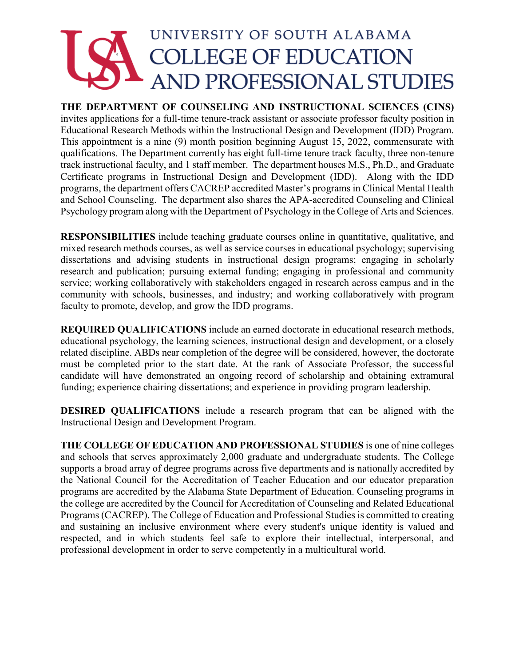## UNIVERSITY OF SOUTH ALABAMA **COLLEGE OF EDUCATION AND PROFESSIONAL STUDIES**

## **THE DEPARTMENT OF COUNSELING AND INSTRUCTIONAL SCIENCES (CINS)**

invites applications for a full-time tenure-track assistant or associate professor faculty position in Educational Research Methods within the Instructional Design and Development (IDD) Program. This appointment is a nine (9) month position beginning August 15, 2022, commensurate with qualifications. The Department currently has eight full-time tenure track faculty, three non-tenure track instructional faculty, and 1 staff member. The department houses M.S., Ph.D., and Graduate Certificate programs in Instructional Design and Development (IDD). Along with the IDD programs, the department offers CACREP accredited Master's programs in Clinical Mental Health and School Counseling. The department also shares the APA-accredited Counseling and Clinical Psychology program along with the Department of Psychology in the College of Arts and Sciences.

**RESPONSIBILITIES** include teaching graduate courses online in quantitative, qualitative, and mixed research methods courses, as well as service courses in educational psychology; supervising dissertations and advising students in instructional design programs; engaging in scholarly research and publication; pursuing external funding; engaging in professional and community service; working collaboratively with stakeholders engaged in research across campus and in the community with schools, businesses, and industry; and working collaboratively with program faculty to promote, develop, and grow the IDD programs.

**REQUIRED QUALIFICATIONS** include an earned doctorate in educational research methods, educational psychology, the learning sciences, instructional design and development, or a closely related discipline. ABDs near completion of the degree will be considered, however, the doctorate must be completed prior to the start date. At the rank of Associate Professor, the successful candidate will have demonstrated an ongoing record of scholarship and obtaining extramural funding; experience chairing dissertations; and experience in providing program leadership.

**DESIRED QUALIFICATIONS** include a research program that can be aligned with the Instructional Design and Development Program.

**THE COLLEGE OF EDUCATION AND PROFESSIONAL STUDIES** is one of nine colleges and schools that serves approximately 2,000 graduate and undergraduate students. The College supports a broad array of degree programs across five departments and is nationally accredited by the National Council for the Accreditation of Teacher Education and our educator preparation programs are accredited by the Alabama State Department of Education. Counseling programs in the college are accredited by the Council for Accreditation of Counseling and Related Educational Programs (CACREP). The College of Education and Professional Studies is committed to creating and sustaining an inclusive environment where every student's unique identity is valued and respected, and in which students feel safe to explore their intellectual, interpersonal, and professional development in order to serve competently in a multicultural world.